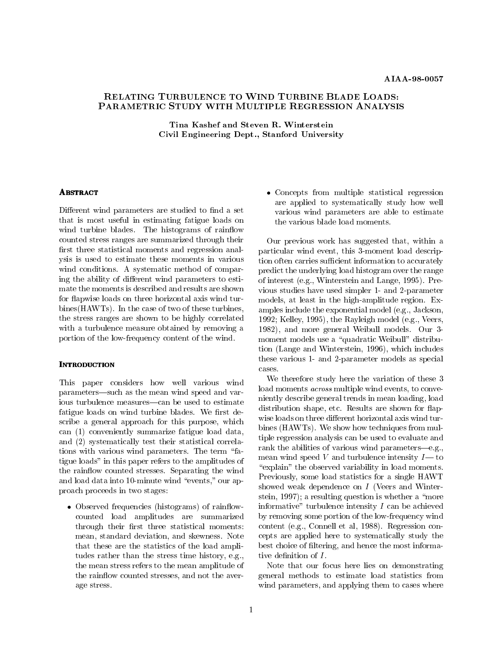# **RELATING TURBULENCE TO WIND TURBINE BLADE LOADS: PARAMETRIC STUDY WITH MULTIPLE REGRESSION ANALYSIS**

Tina Kashef and Steven R. Winterstein Civil Engineering Dept., Stanford University

# **ABSTRACT**

Different wind parameters are studied to find a set that is most useful in estimating fatigue loads on wind turbine blades. The histograms of rainflow counted stress ranges are summarized through their first three statistical moments and regression analysis is used to estimate these moments in various wind conditions. A systematic method of comparing the ability of different wind parameters to estimate the moments is described and results are shown for flapwise loads on three horizontal axis wind turbines(HAWTs). In the case of two of these turbines, the stress ranges are shown to be highly correlated with a turbulence measure obtained by removing a portion of the low-frequency content of the wind.

This paper considers how well various wind parameters—such as the mean wind speed and various turbulence measures—can be used to estimate fatigue loads on wind turbine blades. We first describe a general approach for this purpose, which can (1) conveniently summarize fatigue load data, and (2) systematically test their statistical correlations with various wind parameters. The term "fatigue loads" in this paper refers to the amplitudes of the rainflow counted stresses. Separating the wind and load data into 10-minute wind "events," our approach proceeds in two stages:

• Observed frequencies (histograms) of rainflowcounted load amplitudes are summarized through their first three statistical moments: mean, standard deviation, and skewness. Note that these are the statistics of the load amplitudes rather than the stress time history, e.g., the mean stress refers to the mean amplitude of the rainflow counted stresses, and not the average stress.

 Concepts from multiple statistical regression are applied to systematically study how well various wind parameters are able to estimate

Our previous work has suggested that, within a particular wind event, this 3-moment load description often carries sufficient information to accurately predict the underlying load histogram over the range of interest (e.g., Winterstein and Lange, 1995). Previous studies have used simpler 1- and 2-parameter models, at least in the high-amplitude region. Examples include the exponential model (e.g., Jackson, 1992; Kelley, 1995), the Rayleigh model (e.g., Veers, 1982), and more general Weibull models. Our 3 moment models use a "quadratic Weibull" distribution (Lange and Winterstein, 1996), which includes these various 1- and 2-parameter models as special cases.

We therefore study here the variation of these 3 load moments across multiple wind events, to conveniently describe general trends in mean loading, load distribution shape, etc. Results are shown for flapwise loads on three different horizontal axis wind turbines (HAWTs). We show how techniques from multiple regression analysis can be used to evaluate and rank the abilities of various wind parameters—e.g., mean wind speed V and turbulence intensity  $I$ — to "explain" the observed variability in load moments. Previously, some load statistics for a single HAWT showed weak dependence on  $I$  (Veers and Winterstein,  $1997$ ; a resulting question is whether a "more" informative" turbulence intensity  $I$  can be achieved by removing some portion of the low-frequency wind content (e.g., Connell et al, 1988). Regression concepts are applied here to systematically study the best choice of ltering, and hence the most informative definition of  $I$ .

Note that our focus here lies on demonstrating general methods to estimate load statistics from wind parameters, and applying them to cases where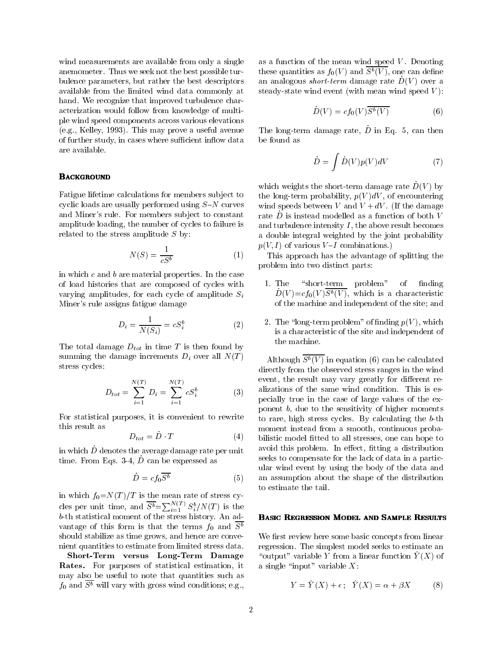wind measurements are available from only a single anemometer. Thus we seek not the best possible turbulence parameters, but rather the best descriptors available from the limited wind data commonly at hand. We recognize that improved turbulence characterization would follow from knowledge of multiple wind speed components across various elevations (e.g., Kelley, 1993). This may prove a useful avenue of further study, in cases where sufficient inflow data are available.

# **BACKGROUND**

Fatigue lifetime calculations for members sub ject to cyclic loads are usually performed using  $S-N$  curves and Miner's rule. For members subject to constant amplitude loading, the number of cycles to failure is related to the stress amplitude  $S$  by:

$$
N(S) = \frac{1}{cS^b} \tag{1}
$$

in which  $c$  and  $b$  are material properties. In the case of load histories that are composed of cycles with varying amplitudes, for each cycle of amplitude  $S_i$ Miner's rule assigns fatigue damage

$$
D_i = \frac{1}{N(S_i)} = cS_i^b \tag{2}
$$

 $T$  is the damage  $T$  in the time  $T$  is the found by  $T$ summing the damage increments  $\mathbf{D}_k$  is the discrements  $\mathbf{D}_k$ stress cycles:

$$
D_{tot} = \sum_{i=1}^{N(T)} D_i = \sum_{i=1}^{N(T)} c S_i^b
$$
 (3)

For statistical purposes, it is convenient to rewrite this result as

$$
D_{tot} = D \cdot T \tag{4}
$$

in which  $D$  denotes the average damage rate per unit time. From Eqs.  $3-4$ , D can be expressed as

$$
\dot{D} = cf_0 \overline{S^b} \tag{5} \quad \text{an}
$$

in which  $f_0=N(T)/T$  is the mean rate of stress cycles per unit time, and  $S^b = \sum_{i=1}^{N(1)} S_i^b/N(T)$  is the b-th statistical moment of the stress history. An ad vantage of this form is that the terms  $f_0$  and  $S^b$ should stabilize as time grows, and hence are convenient quantities to estimate from limited stress data.

Short-Term versus Long-Term Damage Rates. For purposes of statistical estimation, it may also be useful to note that quantities such as  $f_0$  and  $\overline{S^b}$  will vary with gross wind conditions; e.g.,

as a function of the mean wind speed  $V$ . Denoting these quantities as  $f_0(V)$  and  $S^b(V)$ , one can define an analogous *short-term* damage rate  $D(V)$  over a steady-state wind event (with mean wind speed  $V$ ):

$$
\dot{D}(V) = cf_0(V)\overline{S^b(V)}\tag{6}
$$

The long-term damage rate,  $D$  in Eq.  $\theta$ , can then be found as

$$
\dot{D} = \int \dot{D}(V)p(V)dV
$$
\n(7)

which weights the short-term damage rate  $\dot{D}(V)$  by the long-term probability,  $p(V)dV$ , of encountering wind speeds between V and  $V + dV$ . (If the damage rate  $D$  is instead modelled as a function of both  $V$ and turbulence intensity  $I$ , the above result becomes a double integral weighted by the joint probability  $p(V, I)$  of various  $V-I$  combinations.)

This approach has the advantage of splitting the problem into two distinct parts:

- 1. The "short-term problem" of finding  $\dot{D}(V) =cf_0(V) \overline{S^b(V)}$ , which is a characteristic of the machine and independent of the site; and
- 2. The "long-term problem" of finding  $p(V)$ , which is a characteristic of the site and independent of the machine.

 $\sum_{a} s^{b}$  (3) alizations of the same wind condition. This is especially true in the case of large values of the ex-Although  $\overline{S^b(V)}$  in equation (6) can be calculated directly from the observed stress ranges in the wind event, the result may vary greatly for different reponent  $b$ , due to the sensitivity of higher moments to rare, high stress cycles. By calculating the b-th moment instead from a smooth, continuous probabilistic model fitted to all stresses, one can hope to avoid this problem. In effect, fitting a distribution seeks to compensate for the lack of data in a particular wind event by using the body of the data and an assumption about the shape of the distribution to estimate the tail.

### BASIC REGRESSION MODEL AND SAMPLE RESULTS

We first review here some basic concepts from linear regression. The simplest model seeks to estimate an "output" variable Y from a linear function  $\widetilde{Y} (X)$  of a single "input" variable  $X$ :

$$
Y = \hat{Y}(X) + \epsilon; \quad \hat{Y}(X) = \alpha + \beta X \tag{8}
$$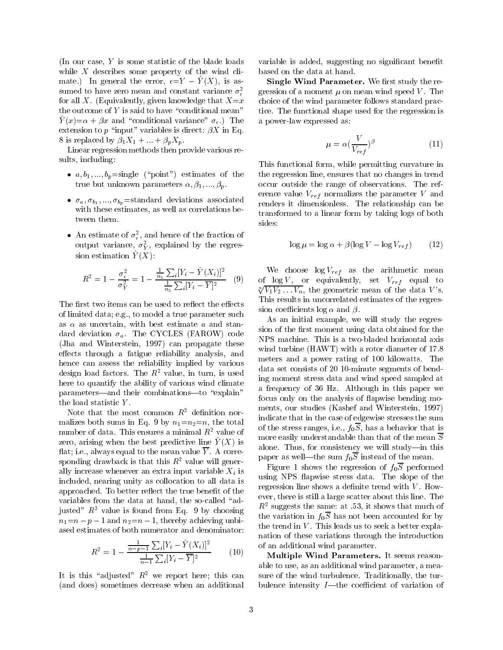(In our case, <sup>Y</sup> is some statistic of the blade loads while  $X$  describes some property of the wind climate.) In general the error,  $\epsilon = Y - \hat{Y} (X)$ , is assumed to have zero mean and constant variance  $\sigma_{\epsilon}^2$  $\overline{\phantom{0}}$ for all X. (Equivalently, given knowledge that  $X=x$ the outcome of  $Y$  is said to have "conditional mean"  $\hat{Y} (x) = \alpha + \beta x$  and "conditional variance"  $\sigma_{\epsilon}$ .) The extension to p "input" variables is direct:  $\beta X$  in Eq. 8 is replaced by  $\beta_1 X_1 + \dots + \beta_p X_p$ .

Linear regression methods then provide various results, including:

- $a, b_1, ..., b_p$ =single ("point") estimates of the true but unknown parameters  $\alpha, \beta_1, ..., \beta_p$ .
- $\sigma_a$ ,  $\sigma_{b_1}$ , ...,  $\sigma_{b_p}$ =standard deviations associated with these estimates, as well as correlations be-
- An estimate of  $\sigma_{\epsilon}$ , and hence of the fraction of output variance,  $\sigma_Y^{},$  explained by the regres- $\overline{\phantom{a}}$  $\mathfrak{soun}$  commation  $\mathfrak{t}$  (  $\Lambda$  ).

$$
R^{2} = 1 - \frac{\sigma_{\epsilon}^{2}}{\sigma_{Y}^{2}} = 1 - \frac{\frac{1}{n_{1}}\sum_{i}[Y_{i} - \hat{Y}(X_{i})]^{2}}{\frac{1}{n_{2}}\sum_{i}[Y_{i} - \overline{Y}]^{2}} \quad (9)
$$

The first two items can be used to reflect the effects of limited data; e.g., to model a true parameter such as  $\alpha$  as uncertain, with best estimate  $\alpha$  and standard deviation  $\sigma_a$ . The CYCLES (FAROW) code (Jha and Winterstein, 1997) can propagate these effects through a fatigue reliability analysis, and hence can assess the reliability implied by various design load factors. The  $R^2$  value, in turn, is used here to quantify the ability of various wind climate parameters-and their combinations-to "explain" the load statistic <sup>Y</sup> .

Note that the most common  $R^2$  definition normalizes both sums in Eq. 9 by  $n_1=n_2=n$ , the total number of data. This ensures a minimal  $R^2$  value of zero, arising when the best predictive line  $I(\Lambda)$  is  $\mathcal{L}$ flat; i.e., always equal to the mean value  $\overline{Y}$ . A corresponding drawback is that this  $R^2$  value will generally increase whenever an extra input variable  $X_i$  is included, nearing unity as collocation to all data is approached. To better reflect the true benefit of the variables from the data at hand, the so-called "adjusted"  $R^2$  value is found from Eq. 9 by choosing  $n_1=n-p-1$  and  $n_2=n-1$ , thereby achieving unbiased estimates of both numerator and denominator:

$$
R^{2} = 1 - \frac{\frac{1}{n-p-1} \sum_{i} [Y_{i} - \hat{Y}(X_{i})]^{2}}{\frac{1}{n-1} \sum_{i} [Y_{i} - \overline{Y}]^{2}}
$$
 (10) of

It is this "adjusted"  $R^2$  we report here; this can (and does) sometimes decrease when an additional

variable is added, suggesting no significant benefit based on the data at hand.

Single Wind Parameter. We first study the regression of a moment  $\mu$  on mean wind speed V. The choice of the wind parameter follows standard practice. The functional shape used for the regression is a power-law expressed as:

$$
\mu = \alpha \left(\frac{V}{V_{ref}}\right)^{\beta} \tag{11}
$$

This functional form, while permitting curvature in the regression line, ensures that no changes in trend occur outside the range of observations. The reference value Vref normalizes the parameter <sup>V</sup> and renders it dimensionless. The relationship can be transformed to a linear form by taking logs of both sides:

$$
\log \mu = \log \alpha + \beta (\log V - \log V_{ref}) \tag{12}
$$

 $\sqrt{9}$  of  $\log r$ , or equivalently, set  $r_{ref}$  equal to where  $\mathcal{L}$  as the arithmetic measurement measurement measurement as the arithmetic measurement of  $\mathcal{L}$  $\sqrt[n]{V_1V_2 \ldots V_n}$ , the geometric mean of the data V's. This results in uncorrelated estimates of the regression coefficients  $\log \alpha$  and  $\beta$ .

As an initial example, we will study the regression of the first moment using data obtained for the NPS machine. This is a two-bladed horizontal axis wind turbine (HAWT) with a rotor diameter of 17.8 meters and a power rating of 100 kilowatts. The data set consists of 20 10-minute segments of bending moment stress data and wind speed sampled at a frequency of 36 Hz. Although in this paper we focus only on the analysis of flapwise bending moments, our studies (Kashef and Winterstein, 1997) indicate that in the case of edgewise stresses the sum of the stress ranges, i.e.,  $f_0\overline{S}$ , has a behavior that is more easily understandable than that of the mean  $\overline{S}$ alone. Thus, for consistency we will study-in this paper as well—the sum  $f_0\overline{S}$  instead of the mean.

e is using NPS flapwise stress data. The slope of the Figure 1 shows the regression of  $f_0\overline{S}$  performed regression line shows a definite trend with  $V$ . However, there is still a large scatter about this line. The  $R^2$  suggests the same: at .55, it shows that much of the variation in  $f_0 \overline{S}$  has not been accounted for by the trend in  $V$ . This leads us to seek a better explanation of these variations through the introduction of an additional wind parameter.

Multiple Wind Parameters. It seems reasonable to use, as an additional wind parameter, a measure of the wind turbulence. Traditionally, the turbulence intensity  $I$ —the coefficient of variation of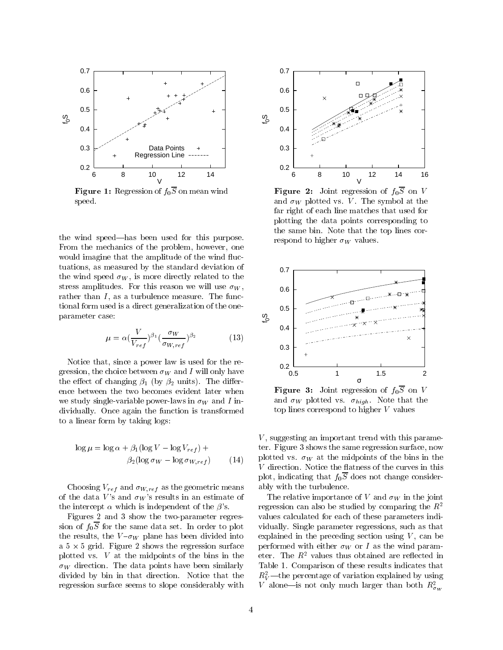

**Figure 1:** Regression of  $f_0\overline{S}$  on mean wind speed.

the wind speed—has been used for this purpose. From the mechanics of the problem, however, one would imagine that the amplitude of the wind fluctuations, as measured by the standard deviation of the wind speed W , is more directly related to the stress amplitudes. For this reason we will use  $\sigma_W$ , rather than  $I$ , as a turbulence measure. The functional form used is a direct generalization of the oneparameter case:

$$
\mu = \alpha \left(\frac{V}{V_{ref}}\right)^{\beta_1} \left(\frac{\sigma_W}{\sigma_{W,ref}}\right)^{\beta_2} \tag{13}
$$

Notice that, since a power law is used for the re- $\mathbf{u}$  and its choice between W and I will only have between  $\mathbf{u}$ the effect of changing  $\beta_1$  (by  $\beta_2$  units). The difference between the two becomes evident later when we study single-variable power-laws in W and I individually. Once again the function is transformed to a linear form by taking logs:

$$
\log \mu = \log \alpha + \beta_1 (\log V - \log V_{ref}) + \text{ten}
$$
  

$$
\beta_2 (\log \sigma_W - \log \sigma_{W,ref})
$$
 (14)

Choosing Vref and W;ref as the geometric means of the data V's and  $\sigma_W$ 's results in an estimate of the intercept  $\alpha$  which is independent of the  $\beta$ 's.

Figures 2 and 3 show the two-parameter regression of  $f_0\overline{S}$  for the same data set. In order to plot the results, the V  $\sim$  V planet has been divided into the  $\sim$  the  $\mu$ a 5 - 5 grid. Figure 2 shows the regression surface plotted vs. <sup>V</sup> at the midpoints of the bins in the where the data points have been similarly between similar  $\mathcal{V}$  , the data points have been similar between  $\mathcal{V}$ divided by bin in that direction. Notice that the regression surface seems to slope considerably with



**Figure 2:** Joint regression of  $f_0\overline{S}$  on V and we will plot the state value of the symbol at the symbol at the symbol at the symbol at the symbol at the far right of each line matches that used for plotting the data points corresponding to the same bin. Note that the top lines correspond to higher W values.



**Figure 3:** Joint regression of  $f_0\overline{S}$  on V and W plotted vs. higher variable variable variable variable variable variable variable variable variable vari top lines correspond to higher  $V$  values

 $V$ , suggesting an important trend with this parameter. Figure 3 shows the same regression surface, now plactical var. W at the middle places of the bins in the bins  $V$  direction. Notice the flatness of the curves in this plot, indicating that  $f_0\overline{S}$  does not change considerably with the turbulence.

The relative importance of V and W in the joints of  $\sim$ regression can also be studied by comparing the  $R^2$ values calculated for each of these parameters individually. Single parameter regressions, such as that explained in the preceding section using  $V$ , can be performed with either W or <sup>I</sup> as the wind parameter. The  $R^2$  values thus obtained are reflected in Table 1. Comparison of these results indicates that  $\kappa_V$ —the percentage of variation explained by using V alone—is not only much larger than both  $R_{\sigma_W}^2$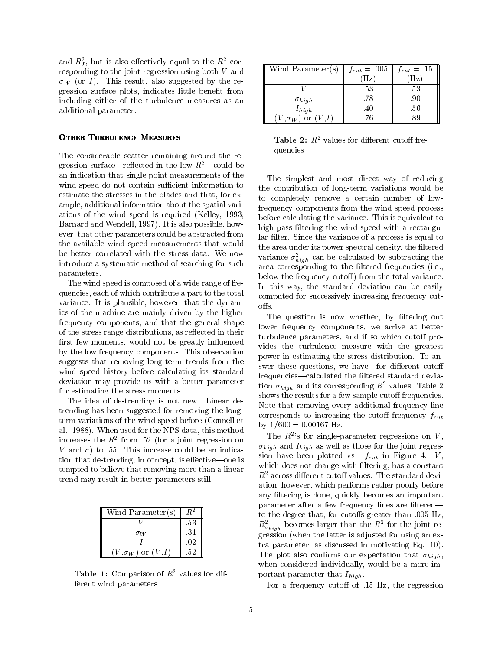and  $R_7$ , but is also enectively equal to the  $R^2$  corresponding to the joint regression using both <sup>V</sup> and W (or <sup>I</sup> ). This result, also suggested by the regression surface plots, indicates little benet from including either of the turbulence measures as an additional parameter.

# **OTHER TURBULENCE MEASURES**

The considerable scatter remaining around the regression surface—reflected in the low  $R^2$ —could be an indication that single point measurements of the wind speed do not contain sufficient information to estimate the stresses in the blades and that, for example, additional information about the spatial variations of the wind speed is required (Kelley, 1993; Barnard and Wendell, 1997). It is also possible, how ever, that other parameters could be abstracted from the available wind speed measurements that would be better correlated with the stress data. We now introduce a systematic method of searching for such parameters.

The wind speed is composed of a wide range of frequencies, each of which contribute a part to the total variance. It is plausible, however, that the dynamics of the machine are mainly driven by the higher frequency components, and that the general shape of the stress range distributions, as reflected in their first few moments, would not be greatly influenced by the low frequency components. This observation suggests that removing long-term trends from the wind speed history before calculating its standard deviation may provide us with a better parameter for estimating the stress moments.

The idea of de-trending is not new. Linear detrending has been suggested for removing the longterm variations of the wind speed before (Connell et al., 1988). When used for the NPS data, this method increases the  $R_{2}$  from .52 (for a joint regression on V and  $\sigma$ ) to .55. This increase could be an indication that de-trending, in concept, is effective—one is tempted to believe that removing more than a linear trend may result in better parameters still.

| Wind Parameter(s)         |               |  |
|---------------------------|---------------|--|
|                           | 53            |  |
| $\sigma_W$                | <sup>31</sup> |  |
|                           | .02           |  |
| $(V,\sigma_W)$ or $(V,I)$ | .52           |  |

**Table 1:** Comparison of  $R^2$  values for different wind parameters

| Wind Parameter(s)           | $f_{cut} = 005$ | $f_{cut} = .15$ |  |
|-----------------------------|-----------------|-----------------|--|
|                             |                 | Нz              |  |
|                             | .53             | .53             |  |
| $\sigma_{high}$             | .78             | .90             |  |
| $I_{high}$                  | .40             | .56             |  |
| $(V, \sigma_W)$ or $(V, I)$ | 76              | 8C              |  |

Table 2:  $R^2$  values for different cutoff frequencies

The simplest and most direct way of reducing the contribution of long-term variations would be to completely remove a certain number of lowfrequency components from the wind speed process before calculating the variance. This is equivalent to high-pass filtering the wind speed with a rectangular filter. Since the variance of a process is equal to the area under its power spectral density, the filtered variance  $\sigma_{high}^{-}$  can be calculated by subtracting the area corresponding to the filtered frequencies (i.e., below the frequency cutoff) from the total variance. In this way, the standard deviation can be easily computed for successively increasing frequency cutoffs.

The question is now whether, by filtering out lower frequency components, we arrive at better turbulence parameters, and if so which cutoff provides the turbulence measure with the greatest power in estimating the stress distribution. To answer these questions, we have—for different cutoff frequencies—calculated the filtered standard deviation  $\sigma_{high}$  and its corresponding  $R^2$  values. Table 2 shows the results for a few sample cutoff frequencies. Note that removing every additional frequency line corresponds to increasing the cutoff frequency  $f_{cut}$ by  $1/600 = 0.00167$  Hz.

The  $R^2$ 's for single-parameter regressions on V, high and Initiative for the formulation as well as the formulation of the joint regression as the formulation o  $s = \frac{1}{2}$  , for figure 4. for  $s = \frac{1}{2}$  , for  $s = \frac{1}{2}$  , for  $s = \frac{1}{2}$  , for  $s = \frac{1}{2}$  , for  $s = \frac{1}{2}$  , for  $s = \frac{1}{2}$  , for  $s = \frac{1}{2}$  , for  $s = \frac{1}{2}$  , for  $s = \frac{1}{2}$  , for  $s = \frac{1}{2}$  , for  $s = \frac{1}{2$ which does not change with filtering, has a constant  $R<sup>2</sup>$  across different cutoff values. The standard deviation, however, which performs rather poorly before any filtering is done, quickly becomes an important parameter after a few frequency lines are filtered to the degree that, for cutoffs greater than .005 Hz,  $n_{\sigma_{high}}^-$  becomes larger than the  $R^-$  for the joint regression (when the latter is adjusted for using an extra parameter, as discussed in motivating Eq. 10). The plot also confirms our expectation that  $\sigma_{high}$ , when considered individually, would be a more important parameter that  $I_{high}$ .

For a frequency cutoff of  $.15$  Hz, the regression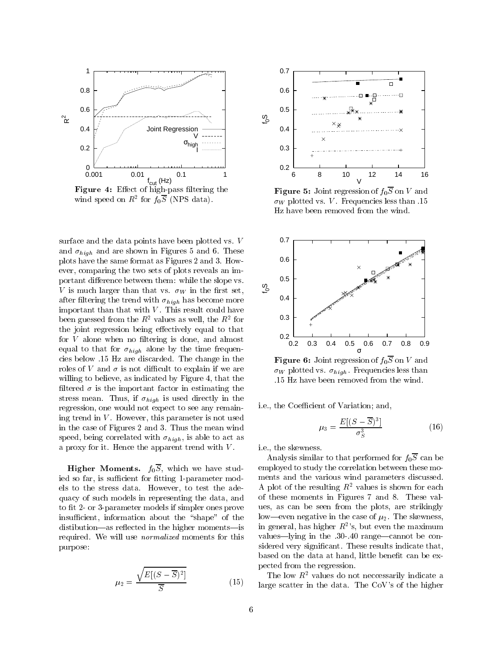

Figure 4: Effect of high-pass filtering the wind speed on  $R^-$  for  $f_0$ s (ives data).

surface and the data points have been plotted vs. <sup>V</sup> and are shown in Figures 5 and 6. These and 6. These and 6. These and 6. These and 6. These and 6. These and 6. These and 6. These and 6. These and 6. These and 6. These and 6. These and 6. These and 6. These and 6. These plots have the same format as Figures 2 and 3. How ever, comparing the two sets of plots reveals an important difference between them: while the slope vs.  $\mathcal{V}$  is much larger than the value of  $\mathcal{V}$  is the set, set, we in after ltering the trend with high has become more important than that with  $V$ . This result could have been guessed from the  $R^2$  values as well, the  $R^2$  for the joint regression being effectively equal to that for  $V$  alone when no filtering is done, and almost equal to the form of  $\mu_{\ell}$ cies below .15 Hz are discarded. The change in the roles of V and  $\sigma$  is not difficult to explain if we are willing to believe, as indicated by Figure 4, that the filtered  $\sigma$  is the important factor in estimating the stress means in the stress means  $\alpha$  is used to use the stress in the stress of  $\alpha$ regression, one would not expect to see any remaining trend in  $V$ . However, this parameter is not used in the case of Figures 2 and 3. Thus the mean wind speed, being correlated with  $\sigma_{high}$ , is able to act as a proxy for it. Hence the apparent trend with  $V$ .

**Higher Moments.**  $f_0\overline{S}$ , which we have studied so far, is sufficient for fitting 1-parameter models to the stress data. However, to test the adequacy of such models in representing the data, and to fit 2- or 3-parameter models if simpler ones prove insufficient, information about the "shape" of the distibution-as reflected in the higher moments-is required. We will use normalized moments for this purpose:

$$
\mu_2 = \frac{\sqrt{E[(S-\overline{S})^2]}}{\overline{S}}
$$
\n(15)



**Figure 5:** Joint regression of  $f_0\overline{S}$  on V and w plant that we will be required that the structure  $\mathcal{L}$ Hz have been removed from the wind.



**Figure 6:** Joint regression of  $f_0\overline{S}$  on V and W plotted vs. higher is a second variable variable variable variable variable variable variable variable variable v .15 Hz have been removed from the wind.

i.e., the Coefficient of Variation; and,

$$
\mu_3 = \frac{E[(S - \overline{S})^3]}{\sigma_S^3} \tag{16}
$$

i.e., the skewness.

Analysis similar to that performed for  $f_0\overline{S}$  can be employed to study the correlation between these moments and the various wind parameters discussed. A plot of the resulting  $R^2$  values is shown for each of these moments in Figures 7 and 8. These values, as can be seen from the plots, are strikingly low—even negative in the case of  $\mu_2$ . The skewness, in general, has higher  $R^{2}$ 's, but even the maximum values—lying in the  $.30-.40$  range—cannot be considered very signicant. These results indicate that, based on the data at hand, little benefit can be expected from the regression.

 $(15)$  large scatter in the data. The CoV's of the higher The low  $R^2$  values do not neccessarily indicate a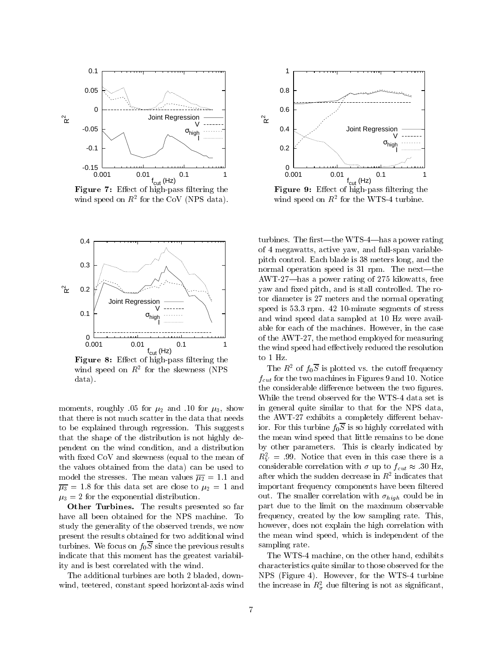

Figure 7: Effect of high-pass filtering the wind speed on  $K^-$  for the Cov (NPS data).



Figure 8: Effect of high-pass filtering the wind speed on  $K^-$  for the skewness (NPS  $\,$ data).

moments, roughly .05 for  $\mu_2$  and .10 for  $\mu_3$ , show that there is not much scatter in the data that needs to be explained through regression. This suggests that the shape of the distribution is not highly dependent on the wind condition, and a distribution with fixed CoV and skewness (equal to the mean of the values obtained from the data) can be used to model the stresses. The mean values  $\overline{\mu_2} = 1.1$  and  $\overline{\mu_3}$  = 1.8 for this data set are close to  $\mu_2$  = 1 and  $\mu_3 = 2$  for the exponential distribution.

Other Turbines. The results presented so far have all been obtained for the NPS machine. To study the generality of the observed trends, we now present the results obtained for two additional wind turbines. We focus on  $f_0\overline{S}$  since the previous results indicate that this moment has the greatest variability and is best correlated with the wind.

The additional turbines are both 2 bladed, downwind, teetered, constant speed horizontal-axis wind



Figure 9: Effect of high-pass filtering the wind speed on  $\kappa^-$  for the WIS-4 turbine.

turbines. The first—the WTS-4—has a power rating of 4 megawatts, active yaw, and full-span variablepitch control. Each blade is 38 meters long, and the normal operation speed is 31 rpm. The next-the AWT-27—has a power rating of 275 kilowatts, free yaw and fixed pitch, and is stall controlled. The rotor diameter is 27 meters and the normal operating speed is 53.3 rpm. 42 10-minute segments of stress and wind speed data sampled at 10 Hz were available for each of the machines. However, in the case of the AWT-27, the method employed for measuring the wind speed had effectively reduced the resolution to 1 Hz.

The  $R^2$  of  $f_0\overline{S}$  is plotted vs. the cutoff frequency  $f_{\rm eff}$  for the two machines in Figures 9 and 10. Notice 10. Notice 10. Notice 10. Notice 10. Notice 10. Notice 10. No the considerable difference between the two figures. While the trend observed for the WTS-4 data set is in general quite similar to that for the NPS data, the AWT-27 exhibits a completely different behavior. For this turbine  $f_0S$  is so highly correlated with the mean wind speed that little remains to be done by other parameters. This is clearly indicated by  $n_V = .99$ . Notice that even in this case there is a considerable correlations with a supply of fcut in the same  $\alpha$ after which the sudden decrease in  $K^-$  indicates that  $\hspace{0.2cm}$ important frequency components have been filtered  $\sim$  The smaller correlation with high correlation with high correlation with high could be in the interval be in the interval be in the interval behavior of the interval behavior  $\sim$ part due to the limit on the maximum observable frequency, created by the low sampling rate. This, however, does not explain the high correlation with the mean wind speed, which is independent of the sampling rate.

The WTS-4 machine, on the other hand, exhibits characteristics quite similar to those observed for the NPS (Figure 4). However, for the WTS-4 turbine the increase in  $\kappa_{\sigma}^{-}$  due nitering is not as significant,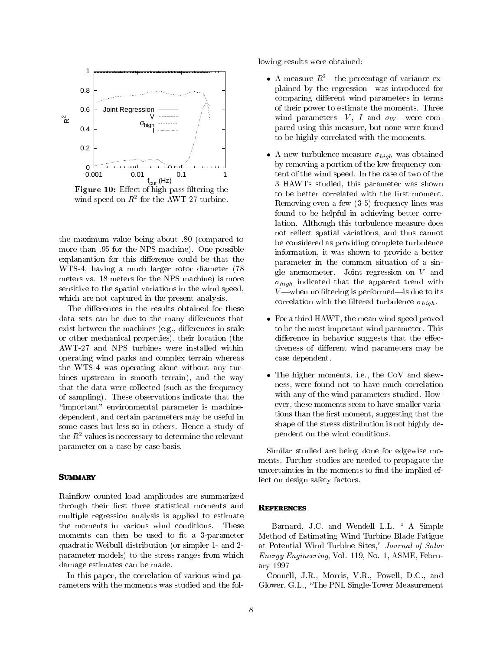

Figure 10: Effect of high-pass filtering the wind speed on  $K^-$  for the AW 1-27 turbine.

the maximum value being about .80 (compared to more than .95 for the NPS machine). One possible explanantion for this difference could be that the WTS-4, having a much larger rotor diameter (78 meters vs. 18 meters for the NPS machine) is more sensitive to the spatial variations in the wind speed, which are not captured in the present analysis.

The differences in the results obtained for these data sets can be due to the many differences that data sets can be due to the many dierences that exist between the machines (e.g., differences in scale or other mechanical properties), their location (the AWT-27 and NPS turbines were installed within operating wind parks and complex terrain whereas the WTS-4 was operating alone without any turbines upstream in smooth terrain), and the way that the data were collected (such as the frequency of sampling). These observations indicate that the "important" environmental parameter is machinedependent, and certain parameters may be useful in some cases but less so in others. Hence a study of the  $R^2$  values is neccessary to determine the relevant parameter on a case by case basis.

# **SUMMARY**

Rain
ow counted load amplitudes are summarized through their first three statistical moments and multiple regression analysis is applied to estimate the moments in various wind conditions. These moments can then be used to fit a 3-parameter quadratic Weibull distribution (or simpler 1- and 2 parameter models) to the stress ranges from which damage estimates can be made.

In this paper, the correlation of various wind parameters with the moments was studied and the following results were obtained:

- A measure  $R^2$ —the percentage of variance explained by the regression—was introduced for comparing different wind parameters in terms of their power to estimate the moments. Three wind and parameters are  $V$  ,  $V$  and  $V$  ,  $V$  ,  $V$  and  $V$  and  $V$   $\rightarrow$   $V$   $\rightarrow$   $V$   $\rightarrow$   $V$   $\rightarrow$   $V$   $\rightarrow$   $V$   $\rightarrow$   $V$   $\rightarrow$   $V$   $\rightarrow$   $V$   $\rightarrow$   $V$   $\rightarrow$   $V$   $\rightarrow$   $V$   $\rightarrow$   $V$   $\rightarrow$   $V$   $\rightarrow$   $V$   $\rightarrow$   $V$   $\rightarrow$   $V$   $\rightarrow$   $V$ pared using this measure, but none were found to be highly correlated with the moments.
- $\mathbf{A} = \mathbf{A}$  and the measure measure highly was obtained to the set of  $\mathbf{A}$ by removing a portion of the low-frequency content of the wind speed. In the case of two of the 3 HAWTs studied, this parameter was shown to be better correlated with the first moment. Removing even a few (3-5) frequency lines was found to be helpful in achieving better correlation. Although this turbulence measure does not reflect spatial variations, and thus cannot be considered as providing complete turbulence information, it was shown to provide a better parameter in the common situation of a single anemometer. Joint regression on <sup>V</sup> and  $\sim$  16,6016 indicated that the approximation that the approximation with the approximation with the approximation of  $\sim$  $V$ —when no filtering is performed—is due to its correlation with the filtered turbulence  $\sigma_{high}$ .
- For a third HAWT, the mean wind speed proved to be the most important wind parameter. This difference in behavior suggests that the effectiveness of different wind parameters may be case dependent.
- The higher moments, i.e., the CoV and skewness, were found not to have much correlation with any of the wind parameters studied. How ever, these moments seem to have smaller variations than the first moment, suggesting that the shape of the stress distribution is not highly dependent on the wind conditions.

Similar studied are being done for edgewise moments. Further studies are needed to propagate the uncertainties in the moments to find the implied effect on design safety factors.

# **REFERENCES**

Barnard, J.C. and Wendell L.L. " A Simple Method of Estimating Wind Turbine Blade Fatigue at Potential Wind Turbine Sites," Journal of Solar Energy Engineering, Vol. 119, No. 1, ASME, February 1997

Connell, J.R., Morris, V.R., Powell, D.C., and Glower, G.L., \The PNL Single-Tower Measurement